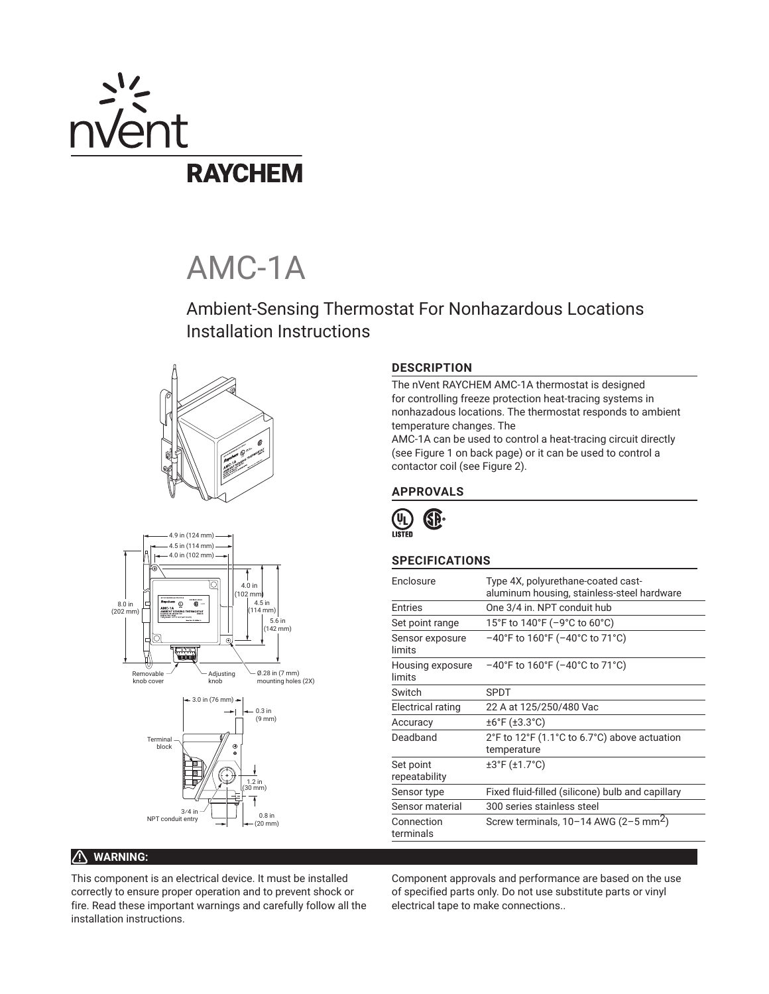

# AMC-1A

Ambient-Sensing Thermostat For Nonhazardous Locations Installation Instructions







### **DESCRIPTION**

The nVent RAYCHEM AMC-1A thermostat is designed for controlling freeze protection heat-tracing systems in nonhazadous locations. The thermostat responds to ambient temperature changes. The

AMC-1A can be used to control a heat-tracing circuit directly (see Figure 1 on back page) or it can be used to control a contactor coil (see Figure 2).

### **APPROVALS**



# **SPECIFICATIONS**

| Enclosure                  | Type 4X, polyurethane-coated cast-<br>aluminum housing, stainless-steel hardware |
|----------------------------|----------------------------------------------------------------------------------|
| <b>Fntries</b>             | One 3/4 in. NPT conduit hub                                                      |
| Set point range            | 15°F to 140°F (-9°C to 60°C)                                                     |
| Sensor exposure<br>limits  | $-40^{\circ}$ F to 160°F ( $-40^{\circ}$ C to 71°C)                              |
| Housing exposure<br>limits | $-40^{\circ}$ F to 160 $^{\circ}$ F ( $-40^{\circ}$ C to 71 $^{\circ}$ C)        |
| Switch                     | <b>SPDT</b>                                                                      |
| Electrical rating          | 22 A at 125/250/480 Vac                                                          |
| Accuracy                   | $±6°$ F ( $±3.3°$ C)                                                             |
| Deadband                   | 2°F to 12°F (1.1°C to 6.7°C) above actuation<br>temperature                      |
| Set point<br>repeatability | ±3°F (±1.7°C)                                                                    |
| Sensor type                | Fixed fluid-filled (silicone) bulb and capillary                                 |
| Sensor material            | 300 series stainless steel                                                       |
| Connection<br>terminals    | Screw terminals, $10-14$ AWG (2-5 mm <sup>2</sup> )                              |
|                            |                                                                                  |

# **WARNING:**

This component is an electrical device. It must be installed correctly to ensure proper operation and to prevent shock or fire. Read these important warnings and carefully follow all the installation instructions.

Component approvals and performance are based on the use of specified parts only. Do not use substitute parts or vinyl electrical tape to make connections..